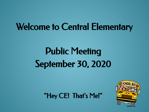# Welcome to Central Elementary

# Public Meeting September 30, 2020

"Hey CE! That's Me!"

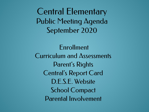Central Elementary Public Meeting Agenda September 2020

Enrollment Curriculum and Assessments Parent's Rights Central's Report Card D.E.S.E. Website School Compact Parental Involvement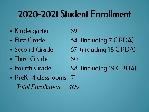# 2020-2021 Student Enrollment

- Kindergarten 69
- 
- 
- Third Grade 60
- 
- PreK-4 classrooms 71 Total Enrollment 409

• First Grade 54 (including 7 CPDA) • Second Grade 67 (including 18 CPDA) • Fourth Grade 88 (including 19 CPDA)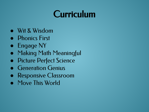# Curriculum

- Wit & Wisdom
- Phonics First
- Engage NY
- Making Math Meaningful
- Picture Perfect Science
- **Generation Genius**
- Responsive Classroom
- Move This World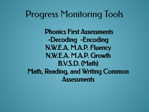### Progress Monitoring Tools

 Phonics First Assessments -Decoding -Encoding N.W.E.A. M.A.P. Fluency N.W.E.A. M.A.P. Growth B.V.S.D. (Math) Math, Reading, and Writing Common **Assessments**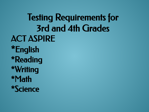Testing Requirements for 3rd and 4th Grades ACT ASPIRE \*English \*Reading \*Writing \*Math \*Science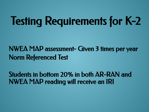# Testing Requirements for K-2

NWEA MAP assessment- Given 3 times per year Norm Referenced Test

Students in bottom 20% in both AR-RAN and NWEA MAP reading will receive an IRI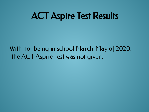# ACT Aspire Test Results

With not being in school March-May of 2020, the ACT Aspire Test was not given.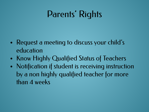# Parents' Rights

- Request a meeting to discuss your child's education
- Know Highly Qualified Status of Teachers
- Notification if student is receiving instruction by a non highly qualified teacher for more than 4 weeks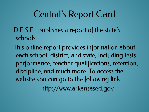# Central's Report Card

- D.E.S.E. publishes a report of the state's schools.
- This online report provides information about each school, district, and state, including tests performance, teacher qualifications, retention, discipline, and much more. To access the website you can go to the following link. http://www.arkansased.gov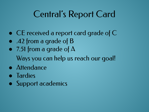# Central's Report Card

- CE received a report card grade of C
- .42 from a grade of **B**
- $\bullet$  7.51 from a grade of  $\Delta$ Ways you can help us reach our goal!
- Attendance
- Tardies
- Support academics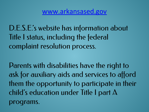D.E.S.E.'s website has information about Title I status, including the federal complaint resolution process.

Parents with disabilities have the right to ask for auxiliary aids and services to afford them the opportunity to participate in their child's education under Title I part  $\Delta$ programs.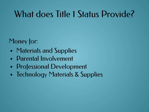# What does Title 1 Status Provide?

Money for:

- Materials and Supplies
- Parental Involvement
- Professional Development
- Technology Materials & Supplies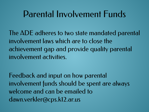### Parental Involvement Funds

The ADE adheres to two state mandated parental involvement laws which are to close the achievement gap and provide quality parental involvement activities.

Feedback and input on how parental involvement funds should be spent are always welcome and can be emailed to dawn.verkler@cps.k12.ar.us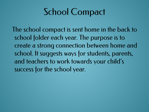# School Compact

The school compact is sent home in the back to school folder each year. The purpose is to create a strong connection between home and school. It suggests ways for students, parents, and teachers to work towards your child's success for the school year.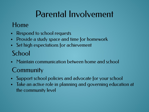# Parental Involvement

#### Home

- Respond to school requests
- Provide a study space and time for homework
- Set high expectations for achievement

#### **School**

• Maintain communication between home and school

#### **Community**

- Support school policies and advocate for your school
- Take an active role in planning and governing education at the community level